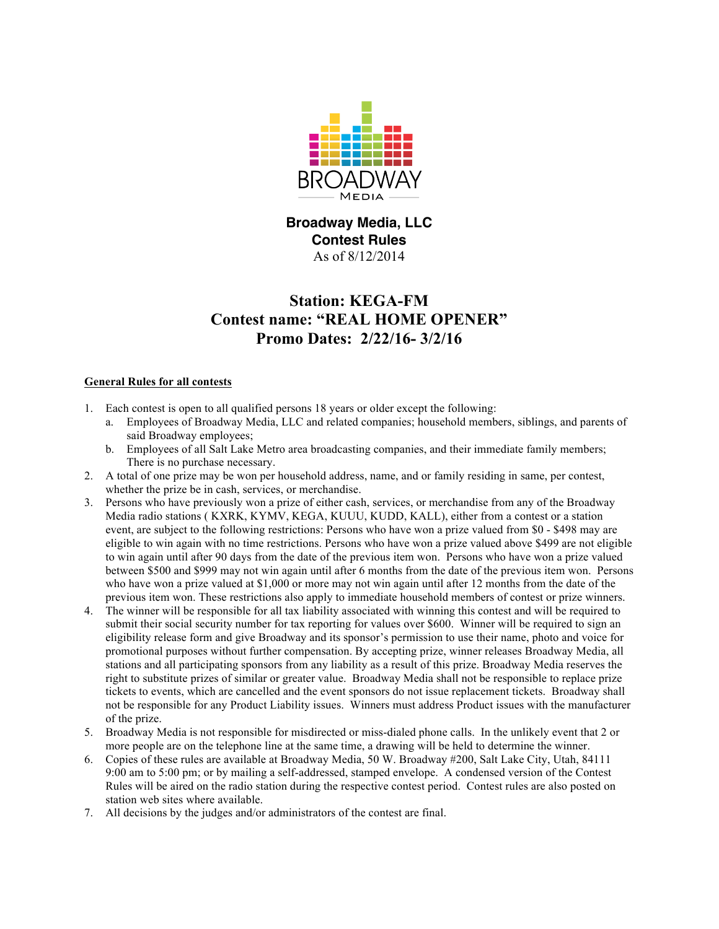

**Broadway Media, LLC Contest Rules** As of 8/12/2014

# **Station: KEGA-FM Contest name: "REAL HOME OPENER" Promo Dates: 2/22/16- 3/2/16**

### **General Rules for all contests**

- 1. Each contest is open to all qualified persons 18 years or older except the following:
	- a. Employees of Broadway Media, LLC and related companies; household members, siblings, and parents of said Broadway employees;
	- b. Employees of all Salt Lake Metro area broadcasting companies, and their immediate family members; There is no purchase necessary.
- 2. A total of one prize may be won per household address, name, and or family residing in same, per contest, whether the prize be in cash, services, or merchandise.
- 3. Persons who have previously won a prize of either cash, services, or merchandise from any of the Broadway Media radio stations ( KXRK, KYMV, KEGA, KUUU, KUDD, KALL), either from a contest or a station event, are subject to the following restrictions: Persons who have won a prize valued from \$0 - \$498 may are eligible to win again with no time restrictions. Persons who have won a prize valued above \$499 are not eligible to win again until after 90 days from the date of the previous item won. Persons who have won a prize valued between \$500 and \$999 may not win again until after 6 months from the date of the previous item won. Persons who have won a prize valued at \$1,000 or more may not win again until after 12 months from the date of the previous item won. These restrictions also apply to immediate household members of contest or prize winners.
- 4. The winner will be responsible for all tax liability associated with winning this contest and will be required to submit their social security number for tax reporting for values over \$600. Winner will be required to sign an eligibility release form and give Broadway and its sponsor's permission to use their name, photo and voice for promotional purposes without further compensation. By accepting prize, winner releases Broadway Media, all stations and all participating sponsors from any liability as a result of this prize. Broadway Media reserves the right to substitute prizes of similar or greater value. Broadway Media shall not be responsible to replace prize tickets to events, which are cancelled and the event sponsors do not issue replacement tickets. Broadway shall not be responsible for any Product Liability issues. Winners must address Product issues with the manufacturer of the prize.
- 5. Broadway Media is not responsible for misdirected or miss-dialed phone calls. In the unlikely event that 2 or more people are on the telephone line at the same time, a drawing will be held to determine the winner.
- 6. Copies of these rules are available at Broadway Media, 50 W. Broadway #200, Salt Lake City, Utah, 84111 9:00 am to 5:00 pm; or by mailing a self-addressed, stamped envelope. A condensed version of the Contest Rules will be aired on the radio station during the respective contest period. Contest rules are also posted on station web sites where available.
- 7. All decisions by the judges and/or administrators of the contest are final.